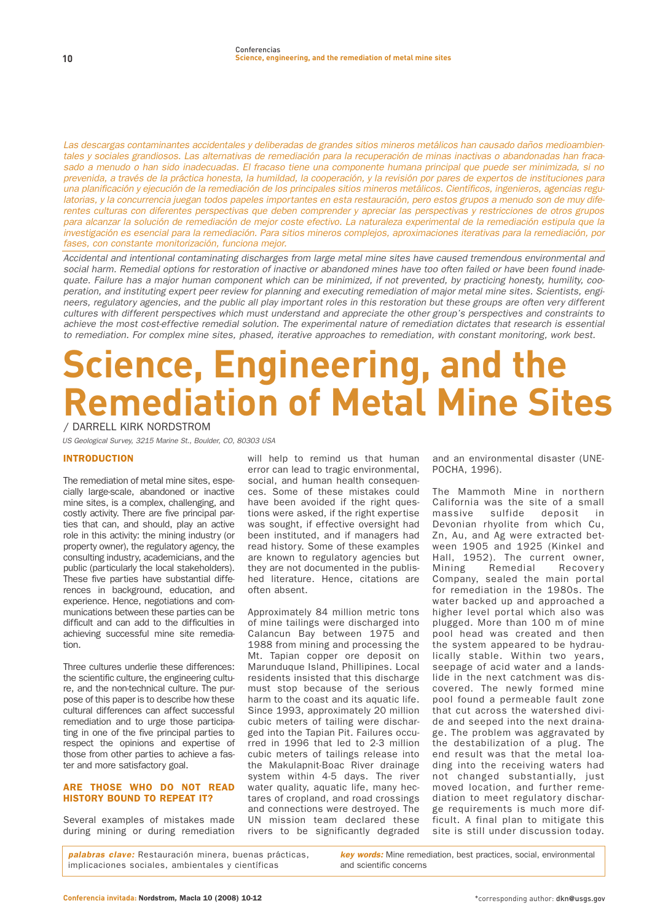Las descargas contaminantes accidentales y deliberadas de grandes sitios mineros metálicos han causado daños medioambientales y sociales grandiosos. Las alternativas de remediación para la recuperación de minas inactivas o abandonadas han fracasado a menudo o han sido inadecuadas. El fracaso tiene una componente humana principal que puede ser minimizada, si no prevenida, a través de la práctica honesta, la humildad, la cooperación, y la revisión por pares de expertos de instituciones para una planificación y ejecución de la remediación de los principales sitios mineros metálicos. Científicos, ingenieros, agencias regulatorias, y la concurrencia juegan todos papeles importantes en esta restauración, pero estos grupos a menudo son de muy diferentes culturas con diferentes perspectivas que deben comprender y apreciar las perspectivas y restricciones de otros grupos para alcanzar la solución de remediación de mejor coste efectivo. La naturaleza experimental de la remediación estipula que la investigación es esencial para la remediación. Para sitios mineros complejos, aproximaciones iterativas para la remediación, por fases, con constante monitorización, funciona mejor.

Accidental and intentional contaminating discharges from large metal mine sites have caused tremendous environmental and social harm. Remedial options for restoration of inactive or abandoned mines have too often failed or have been found inadequate. Failure has a major human component which can be minimized, if not prevented, by practicing honesty, humility, cooperation, and instituting expert peer review for planning and executing remediation of major metal mine sites. Scientists, engineers, regulatory agencies, and the public all play important roles in this restoration but these groups are often very different cultures with different perspectives which must understand and appreciate the other group's perspectives and constraints to achieve the most cost-effective remedial solution. The experimental nature of remediation dictates that research is essential to remediation. For complex mine sites, phased, iterative approaches to remediation, with constant monitoring, work best.

# **Science, Engineering, and the Remediation of Metal Mine Sites / DARRELL KIRK NORDSTROM**

US Geological Survey, 3215 Marine St., Boulder, CO, 80303 USA

#### INTRODUCTION

**The remediation of metal mine sites, especially large-scale, abandoned or inactive mine sites, is a complex, challenging, and costly activity. There are five principal parties that can, and should, play an active role in this activity: the mining industry (or property owner), the regulatory agency, the consulting industry, academicians, and the public (particularly the local stakeholders). These five parties have substantial differences in background, education, and experience. Hence, negotiations and communications between these parties can be difficult and can add to the difficulties in achieving successful mine site remediation.** 

**Three cultures underlie these differences: the scientific culture, the engineering culture, and the non-technical culture. The purpose of this paper is to describe how these cultural differences can affect successful remediation and to urge those participating in one of the five principal parties to respect the opinions and expertise of those from other parties to achieve a faster and more satisfactory goal.**

# ARE THOSE WHO DO NOT READ HISTORY BOUND TO REPEAT IT?

**Several examples of mistakes made during mining or during remediation** **will help to remind us that human error can lead to tragic environmental, social, and human health consequences. Some of these mistakes could have been avoided if the right questions were asked, if the right expertise was sought, if effective oversight had been instituted, and if managers had read history. Some of these examples are known to regulatory agencies but they are not documented in the published literature. Hence, citations are often absent.**

**Approximately 84 million metric tons of mine tailings were discharged into Calancun Bay between 1975 and 1988 from mining and processing the Mt. Tapian copper ore deposit on Marunduque Island, Phillipines. Local residents insisted that this discharge must stop because of the serious harm to the coast and its aquatic life. Since 1993, approximately 20 million cubic meters of tailing were discharged into the Tapian Pit. Failures occurred in 1996 that led to 2-3 million cubic meters of tailings release into the Makulapnit-Boac River drainage system within 4-5 days. The river water quality, aquatic life, many hectares of cropland, and road crossings and connections were destroyed. The UN mission team declared these rivers to be significantly degraded**

**and an environmental disaster (UNE-POCHA, 1996).**

**The Mammoth Mine in northern California was the site of a small massive sulfide deposit in Devonian rhyolite from which Cu, Zn, Au, and Ag were extracted between 1905 and 1925 (Kinkel and Hall, 1952). The current owner, Mining Remedial Recovery Company, sealed the main portal for remediation in the 1980s. The water backed up and approached a higher level portal which also was plugged. More than 100 m of mine pool head was created and then the system appeared to be hydraulically stable. Within two years, seepage of acid water and a landslide in the next catchment was discovered. The newly formed mine pool found a permeable fault zone that cut across the watershed divide and seeped into the next drainage. The problem was aggravated by the destabilization of a plug. The end result was that the metal loading into the receiving waters had not changed substantially, just moved location, and further remediation to meet regulatory discharge requirements is much more difficult. A final plan to mitigate this site is still under discussion today.**

**palabras clave: Restauración minera, buenas prácticas, implicaciones sociales, ambientales y científicas**

**key words: Mine remediation, best practices, social, environmental and scientific concerns**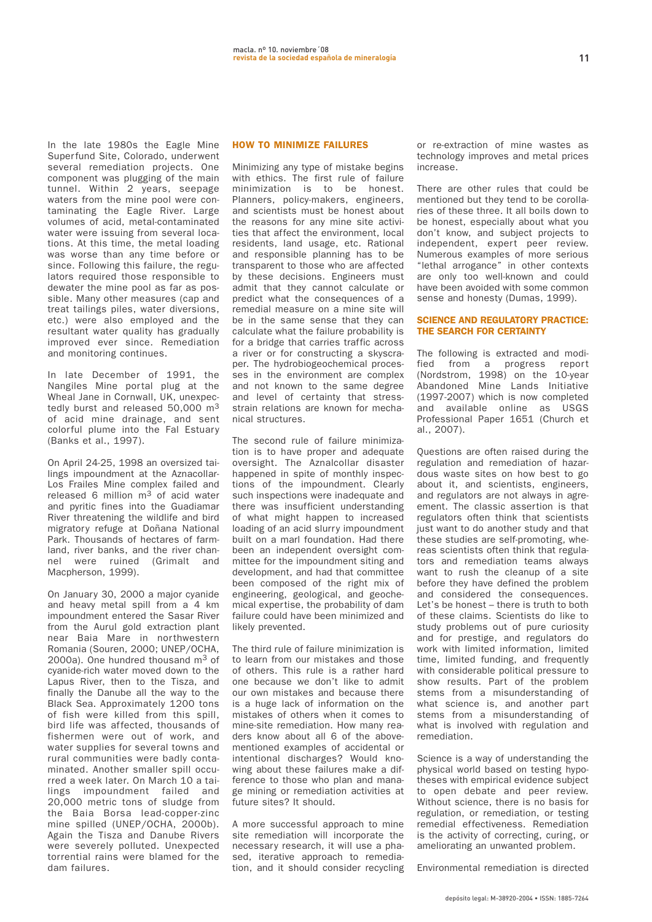**In the late 1980s the Eagle Mine Superfund Site, Colorado, underwent several remediation projects. One component was plugging of the main tunnel. Within 2 years, seepage waters from the mine pool were contaminating the Eagle River. Large volumes of acid, metal-contaminated water were issuing from several locations. At this time, the metal loading was worse than any time before or since. Following this failure, the regulators required those responsible to dewater the mine pool as far as possible. Many other measures (cap and treat tailings piles, water diversions, etc.) were also employed and the resultant water quality has gradually improved ever since. Remediation and monitoring continues.**

**In late December of 1991, the Nangiles Mine portal plug at the Wheal Jane in Cornwall, UK, unexpectedly burst and released 50,000 m3 of acid mine drainage, and sent colorful plume into the Fal Estuary (Banks et al., 1997).**

**On April 24-25, 1998 an oversized tailings impoundment at the Aznacollar-Los Frailes Mine complex failed and released 6 million m3 of acid water and pyritic fines into the Guadiamar River threatening the wildlife and bird migrator y refuge at Doñana National Park. Thousands of hectares of farmland, river banks, and the river channel were ruined (Grimalt and Macpherson, 1999).**

**On January 30, 2000 a major cyanide and heavy metal spill from a 4 km impoundment entered the Sasar River from the Aurul gold extraction plant near Baia Mare in northwestern Romania (Souren, 2000; UNEP/OCHA, 2000a). One hundred thousand m3 of cyanide-rich water moved down to the Lapus River, then to the Tisza, and finally the Danube all the way to the Black Sea. Approximately 1200 tons of fish were killed from this spill, bird life was affected, thousands of fishermen were out of work, and water supplies for several towns and rural communities were badly contaminated. Another smaller spill occurred a week later. On March 10 a tailings impoundment failed and 20,000 metric tons of sludge from the Baia Borsa lead-copper-zinc mine spilled (UNEP/OCHA, 2000b). Again the Tisza and Danube Rivers were severely polluted. Unexpected torrential rains were blamed for the dam failures.**

## HOW TO MINIMIZE FAILURES

**Minimizing any type of mistake begins with ethics. The first rule of failure minimization is to be honest. Planners, policy-makers, engineers, and scientists must be honest about the reasons for any mine site activities that affect the environment, local residents, land usage, etc. Rational and responsible planning has to be transparent to those who are affected by these decisions. Engineers must admit that they cannot calculate or predict what the consequences of a remedial measure on a mine site will be in the same sense that they can calculate what the failure probability is for a bridge that carries traffic across a river or for constructing a skyscraper. The hydrobiogeochemical processes in the environment are complex and not known to the same degree and level of certainty that stressstrain relations are known for mechanical structures.**

**The second rule of failure minimization is to have proper and adequate oversight. The Aznalcollar disaster happened in spite of monthly inspections of the impoundment. Clearly such inspections were inadequate and there was insufficient understanding of what might happen to increased loading of an acid slurry impoundment built on a marl foundation. Had there been an independent oversight committee for the impoundment siting and development, and had that committee been composed of the right mix of engineering, geological, and geochemical expertise, the probability of dam failure could have been minimized and likely prevented.**

**The third rule of failure minimization is to learn from our mistakes and those of others. This rule is a rather hard one because we don't like to admit our own mistakes and because there is a huge lack of information on the mistakes of others when it comes to mine-site remediation. How many readers know about all 6 of the abovementioned examples of accidental or intentional discharges? Would knowing about these failures make a difference to those who plan and manage mining or remediation activities at future sites? It should.**

**A more successful approach to mine site remediation will incorporate the necessary research, it will use a phased, iterative approach to remediation, and it should consider recycling** **or re-extraction of mine wastes as technology improves and metal prices increase.**

**There are other rules that could be mentioned but they tend to be corollaries of these three. It all boils down to be honest, especially about what you don't know, and subject projects to independent, expert peer review. Numerous examples of more serious "lethal arrogance" in other contexts are only too well-known and could have been avoided with some common sense and honesty (Dumas, 1999).**

#### SCIENCE AND REGULATORY PRACTICE: THE SEARCH FOR CERTAINTY

**The following is extracted and modified from a progress report (Nordstrom, 1998) on the 10-year Abandoned Mine Lands Initiative (1997-2007) which is now completed and available online as USGS Professional Paper 1651 (Church et al., 2007).**

**Questions are often raised during the regulation and remediation of hazardous waste sites on how best to go about it, and scientists, engineers, and regulators are not always in agreement. The classic assertion is that regulators often think that scientists just want to do another study and that these studies are self-promoting, whereas scientists often think that regulators and remediation teams always want to rush the cleanup of a site before they have defined the problem and considered the consequences. Let's be honest – there is truth to both of these claims. Scientists do like to study problems out of pure curiosity and for prestige, and regulators do work with limited information, limited time, limited funding, and frequently with considerable political pressure to show results. Part of the problem stems from a misunderstanding of what science is, and another part stems from a misunderstanding of what is involved with regulation and remediation.** 

**Science is a way of understanding the physical world based on testing hypotheses with empirical evidence subject to open debate and peer review. Without science, there is no basis for regulation, or remediation, or testing remedial effectiveness. Remediation is the activity of correcting, curing, or ameliorating an unwanted problem.**

**Environmental remediation is directed**